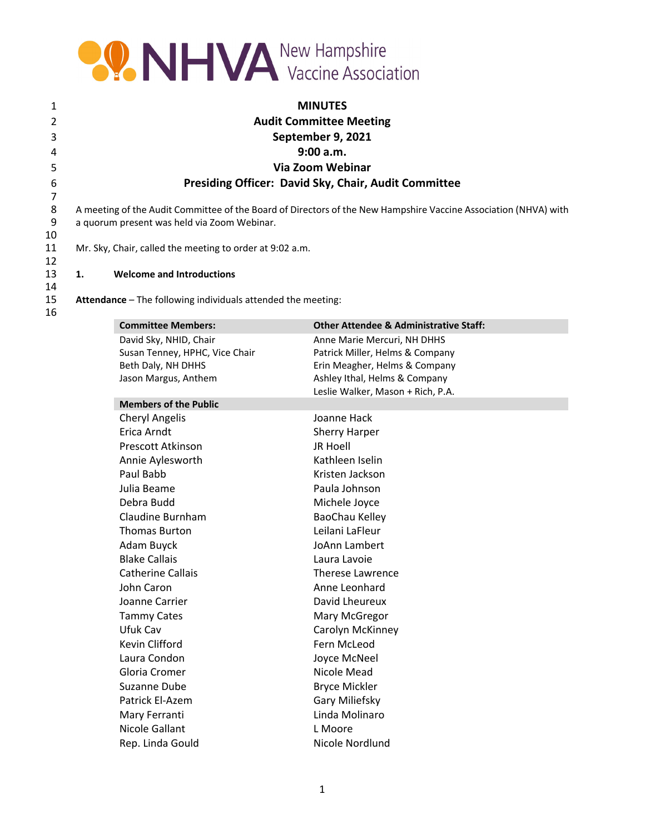

| 1  | <b>MINUTES</b>                                              |
|----|-------------------------------------------------------------|
| 2  | <b>Audit Committee Meeting</b>                              |
| 3  | September 9, 2021                                           |
| 4  | 9:00 a.m.                                                   |
| 5. | Via Zoom Webinar                                            |
| 6  | <b>Presiding Officer: David Sky, Chair, Audit Committee</b> |
|    |                                                             |

7 8 A meeting of the Audit Committee of the Board of Directors of the New Hampshire Vaccine Association (NHVA) with<br>9 a quorum present was held via Zoom Webinar. a quorum present was held via Zoom Webinar.

11 Mr. Sky, Chair, called the meeting to order at 9:02 a.m.

## 12 13 **1. Welcome and Introductions**

14

10

15 **Attendance** – The following individuals attended the meeting: 16

| <b>Committee Members:</b>      | <b>Other Attendee &amp; Administrative Staff:</b> |
|--------------------------------|---------------------------------------------------|
| David Sky, NHID, Chair         | Anne Marie Mercuri, NH DHHS                       |
| Susan Tenney, HPHC, Vice Chair | Patrick Miller, Helms & Company                   |
| Beth Daly, NH DHHS             | Erin Meagher, Helms & Company                     |
| Jason Margus, Anthem           | Ashley Ithal, Helms & Company                     |
| <b>Members of the Public</b>   | Leslie Walker, Mason + Rich, P.A.                 |
| <b>Cheryl Angelis</b>          | Joanne Hack                                       |
| Erica Arndt                    | <b>Sherry Harper</b>                              |
| Prescott Atkinson              | <b>JR Hoell</b>                                   |
| Annie Aylesworth               | Kathleen Iselin                                   |
| Paul Babb                      | Kristen Jackson                                   |
| Julia Beame                    | Paula Johnson                                     |
| Debra Budd                     | Michele Joyce                                     |
| Claudine Burnham               | BaoChau Kelley                                    |
| <b>Thomas Burton</b>           | Leilani LaFleur                                   |
| Adam Buyck                     | JoAnn Lambert                                     |
| <b>Blake Callais</b>           | Laura Lavoie                                      |
| <b>Catherine Callais</b>       | <b>Therese Lawrence</b>                           |
| John Caron                     | Anne Leonhard                                     |
| Joanne Carrier                 | David Lheureux                                    |
| <b>Tammy Cates</b>             | Mary McGregor                                     |
| Ufuk Cav                       | Carolyn McKinney                                  |
| Kevin Clifford                 | Fern McLeod                                       |
| Laura Condon                   | Joyce McNeel                                      |
| Gloria Cromer                  | Nicole Mead                                       |
| Suzanne Dube                   | <b>Bryce Mickler</b>                              |
| Patrick El-Azem                | Gary Miliefsky                                    |
| Mary Ferranti                  | Linda Molinaro                                    |
| Nicole Gallant                 | L Moore                                           |
| Rep. Linda Gould               | Nicole Nordlund                                   |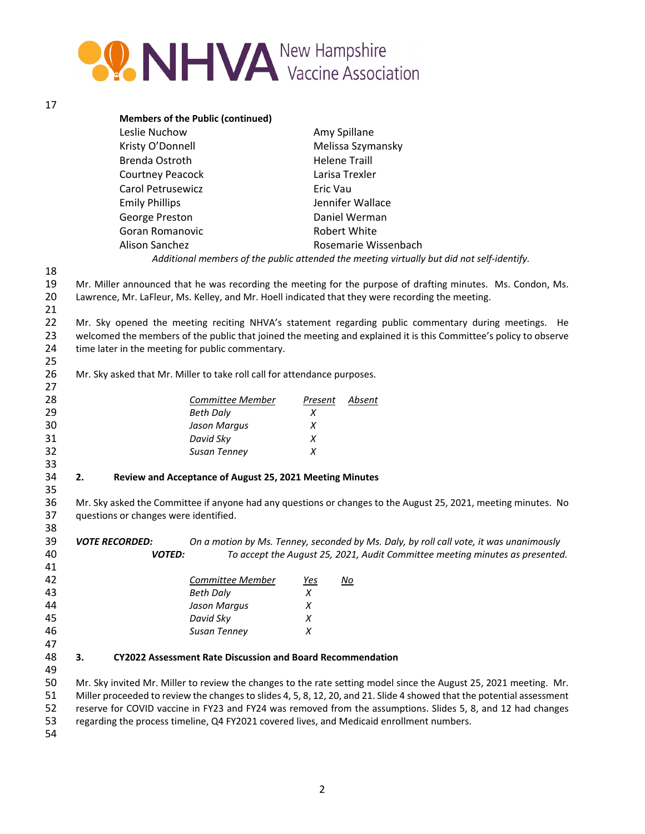

| I |  |
|---|--|
|   |  |

|          | <b>Members of the Public (continued)</b> |                                                                                                             |
|----------|------------------------------------------|-------------------------------------------------------------------------------------------------------------|
|          | Leslie Nuchow                            | Amy Spillane                                                                                                |
|          | Kristy O'Donnell                         | Melissa Szymansky                                                                                           |
|          | Brenda Ostroth                           | <b>Helene Traill</b>                                                                                        |
|          | <b>Courtney Peacock</b>                  | Larisa Trexler                                                                                              |
|          | Carol Petrusewicz                        | Eric Vau                                                                                                    |
|          | <b>Emily Phillips</b>                    | Jennifer Wallace                                                                                            |
|          | George Preston                           | Daniel Werman                                                                                               |
|          | Goran Romanovic                          | Robert White                                                                                                |
|          | Alison Sanchez                           | Rosemarie Wissenbach                                                                                        |
|          |                                          | Additional members of the public attended the meeting virtually but did not self-identify.                  |
| 18       |                                          |                                                                                                             |
| 19       |                                          | Mr. Miller announced that he was recording the meeting for the purpose of drafting minutes. Ms. Condon, Ms. |
| 20<br>21 |                                          | Lawrence, Mr. LaFleur, Ms. Kelley, and Mr. Hoell indicated that they were recording the meeting.            |

22 Mr. Sky opened the meeting reciting NHVA's statement regarding public commentary during meetings. He welcomed the members of the public that joined the meeting and explained it is this Committee's policy to observe time later in the meeting for public commentary. 

26 Mr. Sky asked that Mr. Miller to take roll call for attendance purposes.

| 27 |                  |         |        |
|----|------------------|---------|--------|
| 28 | Committee Member | Present | Absent |
| 29 | <b>Beth Daly</b> | х       |        |
| 30 | Jason Margus     | х       |        |
| 31 | David Sky        | х       |        |
| 32 | Susan Tenney     | х       |        |
| 33 |                  |         |        |

## **2. Review and Acceptance of August 25, 2021 Meeting Minutes**

 Mr. Sky asked the Committee if anyone had any questions or changes to the August 25, 2021, meeting minutes. No questions or changes were identified.

**VOTE RECORDED:** On a motion by Ms. Tenney, seconded by Ms. Daly, by roll call vote, it was unanimously *VOTED: To accept the August 25, 2021, Audit Committee meeting minutes as presented.* 

| 42 | Committee Member | Yes | No |
|----|------------------|-----|----|
| 43 | <b>Beth Daly</b> |     |    |
| 44 | Jason Margus     |     |    |
| 45 | David Sky        | Х   |    |
| 46 | Susan Tenney     |     |    |
|    |                  |     |    |

 

# **3. CY2022 Assessment Rate Discussion and Board Recommendation**

 Mr. Sky invited Mr. Miller to review the changes to the rate setting model since the August 25, 2021 meeting. Mr. Miller proceeded to review the changesto slides 4, 5, 8, 12, 20, and 21. Slide 4 showed that the potential assessment reserve for COVID vaccine in FY23 and FY24 was removed from the assumptions. Slides 5, 8, and 12 had changes

regarding the process timeline, Q4 FY2021 covered lives, and Medicaid enrollment numbers.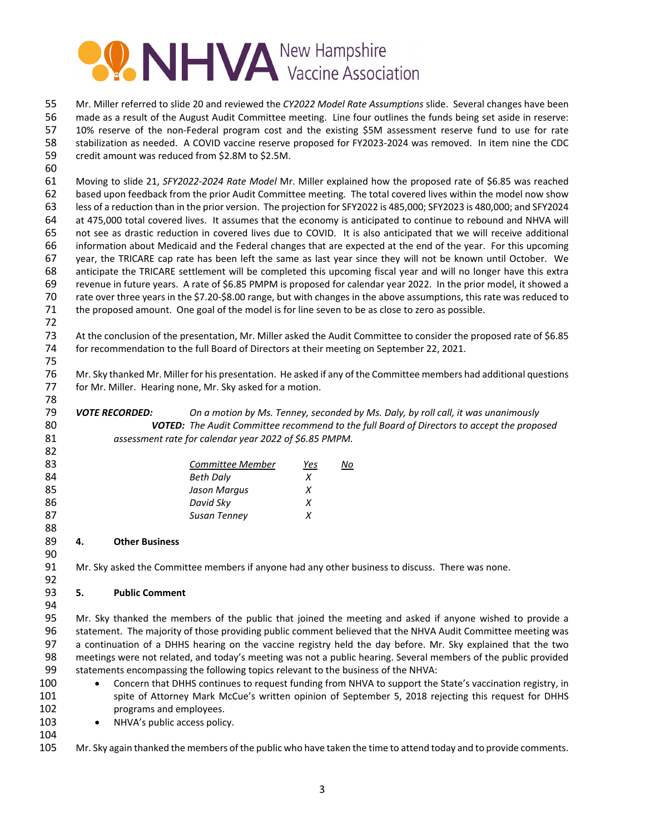

 Mr. Miller referred to slide 20 and reviewed the *CY2022 Model Rate Assumptions* slide. Several changes have been made as a result of the August Audit Committee meeting. Line four outlines the funds being set aside in reserve: 57 10% reserve of the non-Federal program cost and the existing \$5M assessment reserve fund to use for rate stabilization as needed. A COVID vaccine reserve proposed for FY2023‐2024 was removed. In item nine the CDC credit amount was reduced from \$2.8M to \$2.5M.

 Moving to slide 21, *SFY2022‐2024 Rate Model* Mr. Miller explained how the proposed rate of \$6.85 was reached based upon feedback from the prior Audit Committee meeting*.* The total covered lives within the model now show less of a reduction than in the prior version. The projection for SFY2022 is 485,000; SFY2023 is 480,000; and SFY2024 at 475,000 total covered lives. It assumes that the economy is anticipated to continue to rebound and NHVA will not see as drastic reduction in covered lives due to COVID. It is also anticipated that we will receive additional information about Medicaid and the Federal changes that are expected at the end of the year. For this upcoming year, the TRICARE cap rate has been left the same as last year since they will not be known until October. We anticipate the TRICARE settlement will be completed this upcoming fiscal year and will no longer have this extra revenue in future years. A rate of \$6.85 PMPM is proposed for calendar year 2022. In the prior model, it showed a rate over three years in the \$7.20‐\$8.00 range, but with changes in the above assumptions, this rate was reduced to the proposed amount. One goal of the model is for line seven to be as close to zero as possible.

 At the conclusion of the presentation, Mr. Miller asked the Audit Committee to consider the proposed rate of \$6.85 for recommendation to the full Board of Directors at their meeting on September 22, 2021. 

 Mr. Sky thanked Mr. Miller for his presentation. He asked if any of the Committee members had additional questions for Mr. Miller. Hearing none, Mr. Sky asked for a motion.

**VOTE RECORDED:** On a motion by Ms. Tenney, seconded by Ms. Daly, by roll call, it was unanimously *VOTED: The Audit Committee recommend to the full Board of Directors to accept the proposed assessment rate for calendar year 2022 of \$6.85 PMPM.*

| 83 | Committee Member | Yes | No |
|----|------------------|-----|----|
| 84 | <b>Beth Daly</b> |     |    |
| 85 | Jason Margus     |     |    |
| 86 | David Sky        |     |    |
| 87 | Susan Tenney     |     |    |
| 88 |                  |     |    |

## **4. Other Business**

Mr. Sky asked the Committee members if anyone had any other business to discuss. There was none.

## **5. Public Comment**

 Mr. Sky thanked the members of the public that joined the meeting and asked if anyone wished to provide a statement. The majority of those providing public comment believed that the NHVA Audit Committee meeting was a continuation of a DHHS hearing on the vaccine registry held the day before. Mr. Sky explained that the two meetings were not related, and today's meeting was not a public hearing. Several members of the public provided statements encompassing the following topics relevant to the business of the NHVA:

- 100 Concern that DHHS continues to request funding from NHVA to support the State's vaccination registry, in spite of Attorney Mark McCue's written opinion of September 5, 2018 rejecting this request for DHHS programs and employees.
- 103 NHVA's public access policy.
- 

105 Mr. Sky again thanked the members of the public who have taken the time to attend today and to provide comments.